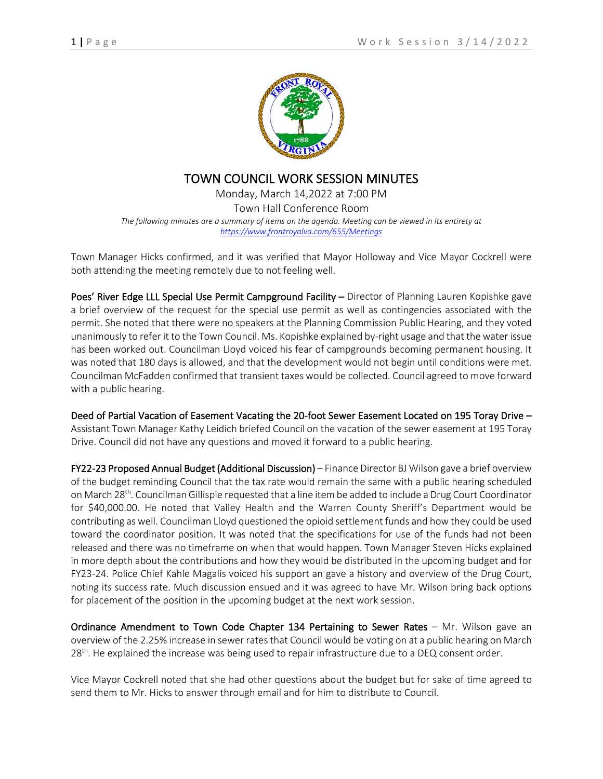

## TOWN COUNCIL WORK SESSION MINUTES

Monday, March 14,2022 at 7:00 PM Town Hall Conference Room *The following minutes are a summary of items on the agenda. Meeting can be viewed in its entirety at <https://www.frontroyalva.com/655/Meetings>*

Town Manager Hicks confirmed, and it was verified that Mayor Holloway and Vice Mayor Cockrell were both attending the meeting remotely due to not feeling well.

Poes' River Edge LLL Special Use Permit Campground Facility - Director of Planning Lauren Kopishke gave a brief overview of the request for the special use permit as well as contingencies associated with the permit. She noted that there were no speakers at the Planning Commission Public Hearing, and they voted unanimously to refer it to the Town Council. Ms. Kopishke explained by-right usage and that the water issue has been worked out. Councilman Lloyd voiced his fear of campgrounds becoming permanent housing. It was noted that 180 days is allowed, and that the development would not begin until conditions were met. Councilman McFadden confirmed that transient taxes would be collected. Council agreed to move forward with a public hearing.

Deed of Partial Vacation of Easement Vacating the 20-foot Sewer Easement Located on 195 Toray Drive – Assistant Town Manager Kathy Leidich briefed Council on the vacation of the sewer easement at 195 Toray Drive. Council did not have any questions and moved it forward to a public hearing.

FY22-23 Proposed Annual Budget (Additional Discussion) – Finance Director BJ Wilson gave a brief overview of the budget reminding Council that the tax rate would remain the same with a public hearing scheduled on March 28<sup>th</sup>. Councilman Gillispie requested that a line item be added to include a Drug Court Coordinator for \$40,000.00. He noted that Valley Health and the Warren County Sheriff's Department would be contributing as well. Councilman Lloyd questioned the opioid settlement funds and how they could be used toward the coordinator position. It was noted that the specifications for use of the funds had not been released and there was no timeframe on when that would happen. Town Manager Steven Hicks explained in more depth about the contributions and how they would be distributed in the upcoming budget and for FY23-24. Police Chief Kahle Magalis voiced his support an gave a history and overview of the Drug Court, noting its success rate. Much discussion ensued and it was agreed to have Mr. Wilson bring back options for placement of the position in the upcoming budget at the next work session.

Ordinance Amendment to Town Code Chapter 134 Pertaining to Sewer Rates - Mr. Wilson gave an overview of the 2.25% increase in sewer rates that Council would be voting on at a public hearing on March 28<sup>th</sup>. He explained the increase was being used to repair infrastructure due to a DEQ consent order.

Vice Mayor Cockrell noted that she had other questions about the budget but for sake of time agreed to send them to Mr. Hicks to answer through email and for him to distribute to Council.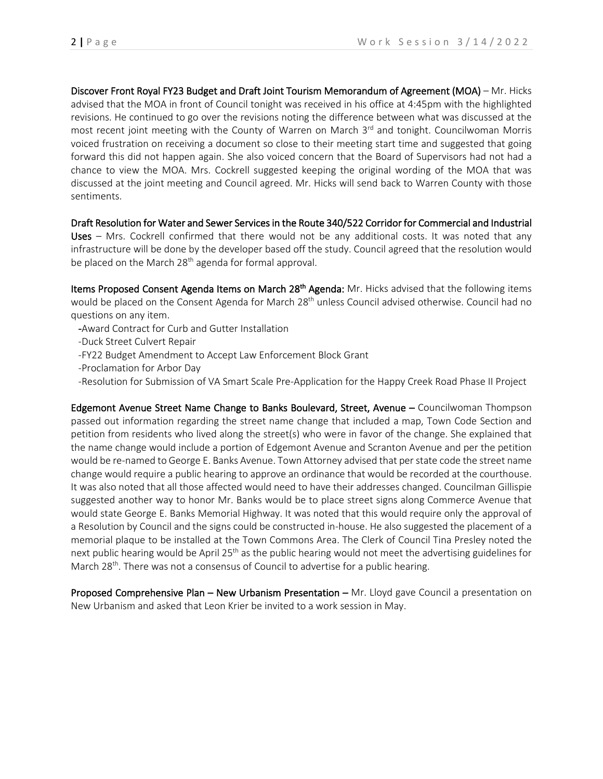Discover Front Royal FY23 Budget and Draft Joint Tourism Memorandum of Agreement (MOA) – Mr. Hicks advised that the MOA in front of Council tonight was received in his office at 4:45pm with the highlighted revisions. He continued to go over the revisions noting the difference between what was discussed at the most recent joint meeting with the County of Warren on March  $3<sup>rd</sup>$  and tonight. Councilwoman Morris voiced frustration on receiving a document so close to their meeting start time and suggested that going forward this did not happen again. She also voiced concern that the Board of Supervisors had not had a chance to view the MOA. Mrs. Cockrell suggested keeping the original wording of the MOA that was discussed at the joint meeting and Council agreed. Mr. Hicks will send back to Warren County with those sentiments.

Draft Resolution for Water and Sewer Services in the Route 340/522 Corridor for Commercial and Industrial Uses – Mrs. Cockrell confirmed that there would not be any additional costs. It was noted that any infrastructure will be done by the developer based off the study. Council agreed that the resolution would be placed on the March 28<sup>th</sup> agenda for formal approval.

Items Proposed Consent Agenda Items on March 28<sup>th</sup> Agenda: Mr. Hicks advised that the following items would be placed on the Consent Agenda for March 28<sup>th</sup> unless Council advised otherwise. Council had no questions on any item.

- -Award Contract for Curb and Gutter Installation
- -Duck Street Culvert Repair
- -FY22 Budget Amendment to Accept Law Enforcement Block Grant
- -Proclamation for Arbor Day
- -Resolution for Submission of VA Smart Scale Pre-Application for the Happy Creek Road Phase II Project

Edgemont Avenue Street Name Change to Banks Boulevard, Street, Avenue – Councilwoman Thompson passed out information regarding the street name change that included a map, Town Code Section and petition from residents who lived along the street(s) who were in favor of the change. She explained that the name change would include a portion of Edgemont Avenue and Scranton Avenue and per the petition would be re-named to George E. Banks Avenue. Town Attorney advised that per state code the street name change would require a public hearing to approve an ordinance that would be recorded at the courthouse. It was also noted that all those affected would need to have their addresses changed. Councilman Gillispie suggested another way to honor Mr. Banks would be to place street signs along Commerce Avenue that would state George E. Banks Memorial Highway. It was noted that this would require only the approval of a Resolution by Council and the signs could be constructed in-house. He also suggested the placement of a memorial plaque to be installed at the Town Commons Area. The Clerk of Council Tina Presley noted the next public hearing would be April 25<sup>th</sup> as the public hearing would not meet the advertising guidelines for March 28<sup>th</sup>. There was not a consensus of Council to advertise for a public hearing.

Proposed Comprehensive Plan – New Urbanism Presentation – Mr. Lloyd gave Council a presentation on New Urbanism and asked that Leon Krier be invited to a work session in May.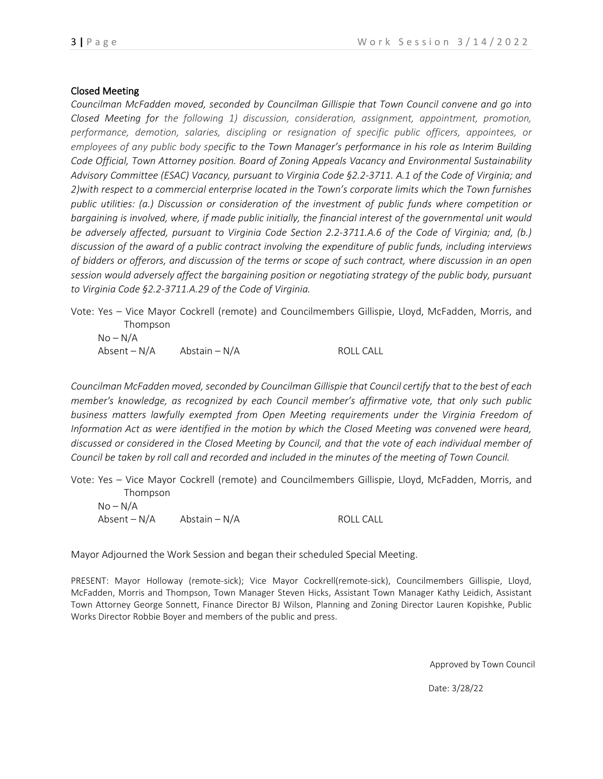## Closed Meeting

*Councilman McFadden moved, seconded by Councilman Gillispie that Town Council convene and go into Closed Meeting for the following 1) discussion, consideration, assignment, appointment, promotion, performance, demotion, salaries, discipling or resignation of specific public officers, appointees, or employees of any public body specific to the Town Manager's performance in his role as Interim Building Code Official, Town Attorney position. Board of Zoning Appeals Vacancy and Environmental Sustainability Advisory Committee (ESAC) Vacancy, pursuant to Virginia Code §2.2-3711. A.1 of the Code of Virginia; and 2)with respect to a commercial enterprise located in the Town's corporate limits which the Town furnishes public utilities: (a.) Discussion or consideration of the investment of public funds where competition or bargaining is involved, where, if made public initially, the financial interest of the governmental unit would be adversely affected, pursuant to Virginia Code Section 2.2-3711.A.6 of the Code of Virginia; and, (b.) discussion of the award of a public contract involving the expenditure of public funds, including interviews of bidders or offerors, and discussion of the terms or scope of such contract, where discussion in an open session would adversely affect the bargaining position or negotiating strategy of the public body, pursuant to Virginia Code §2.2-3711.A.29 of the Code of Virginia.*

Vote: Yes – Vice Mayor Cockrell (remote) and Councilmembers Gillispie, Lloyd, McFadden, Morris, and Thompson

| No – N/A     |                 |           |
|--------------|-----------------|-----------|
| Absent – N/A | Abstain $- N/A$ | ROLL CALL |

*Councilman McFadden moved, seconded by Councilman Gillispie that Council certify that to the best of each member's knowledge, as recognized by each Council member's affirmative vote, that only such public business matters lawfully exempted from Open Meeting requirements under the Virginia Freedom of Information Act as were identified in the motion by which the Closed Meeting was convened were heard, discussed or considered in the Closed Meeting by Council, and that the vote of each individual member of Council be taken by roll call and recorded and included in the minutes of the meeting of Town Council.* 

Vote: Yes – Vice Mayor Cockrell (remote) and Councilmembers Gillispie, Lloyd, McFadden, Morris, and Thompson

| No – N/A     |               |                  |
|--------------|---------------|------------------|
| Absent – N/A | Abstain – N/A | <b>ROLL CALL</b> |

Mayor Adjourned the Work Session and began their scheduled Special Meeting.

PRESENT: Mayor Holloway (remote-sick); Vice Mayor Cockrell(remote-sick), Councilmembers Gillispie, Lloyd, McFadden, Morris and Thompson, Town Manager Steven Hicks, Assistant Town Manager Kathy Leidich, Assistant Town Attorney George Sonnett, Finance Director BJ Wilson, Planning and Zoning Director Lauren Kopishke, Public Works Director Robbie Boyer and members of the public and press.

Approved by Town Council

Date: 3/28/22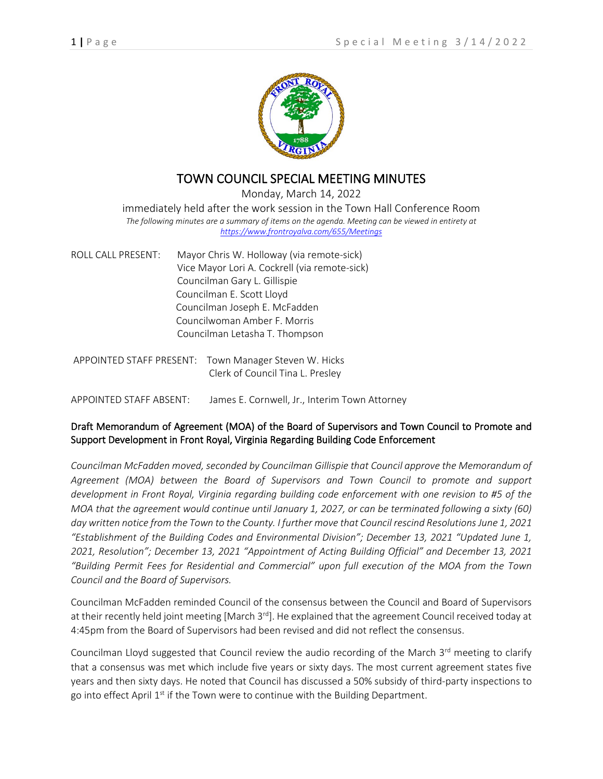

## TOWN COUNCIL SPECIAL MEETING MINUTES

Monday, March 14, 2022

immediately held after the work session in the Town Hall Conference Room *The following minutes are a summary of items on the agenda. Meeting can be viewed in entirety at <https://www.frontroyalva.com/655/Meetings>*

| ROLL CALL PRESENT: | Mayor Chris W. Holloway (via remote-sick)     |
|--------------------|-----------------------------------------------|
|                    | Vice Mayor Lori A. Cockrell (via remote-sick) |
|                    | Councilman Gary L. Gillispie                  |
|                    | Councilman E. Scott Lloyd                     |
|                    | Councilman Joseph E. McFadden                 |
|                    | Councilwoman Amber F. Morris                  |
|                    | Councilman Letasha T. Thompson                |
|                    |                                               |

APPOINTED STAFF PRESENT: Town Manager Steven W. Hicks Clerk of Council Tina L. Presley

APPOINTED STAFF ABSENT: James E. Cornwell, Jr., Interim Town Attorney

## Draft Memorandum of Agreement (MOA) of the Board of Supervisors and Town Council to Promote and Support Development in Front Royal, Virginia Regarding Building Code Enforcement

*Councilman McFadden moved, seconded by Councilman Gillispie that Council approve the Memorandum of Agreement (MOA) between the Board of Supervisors and Town Council to promote and support development in Front Royal, Virginia regarding building code enforcement with one revision to #5 of the MOA that the agreement would continue until January 1, 2027, or can be terminated following a sixty (60) day written notice from the Town to the County. I further move that Council rescind Resolutions June 1, 2021 "Establishment of the Building Codes and Environmental Division"; December 13, 2021 "Updated June 1, 2021, Resolution"; December 13, 2021 "Appointment of Acting Building Official" and December 13, 2021 "Building Permit Fees for Residential and Commercial" upon full execution of the MOA from the Town Council and the Board of Supervisors.*

Councilman McFadden reminded Council of the consensus between the Council and Board of Supervisors at their recently held joint meeting [March 3<sup>rd</sup>]. He explained that the agreement Council received today at 4:45pm from the Board of Supervisors had been revised and did not reflect the consensus.

Councilman Lloyd suggested that Council review the audio recording of the March 3<sup>rd</sup> meeting to clarify that a consensus was met which include five years or sixty days. The most current agreement states five years and then sixty days. He noted that Council has discussed a 50% subsidy of third-party inspections to go into effect April 1<sup>st</sup> if the Town were to continue with the Building Department.